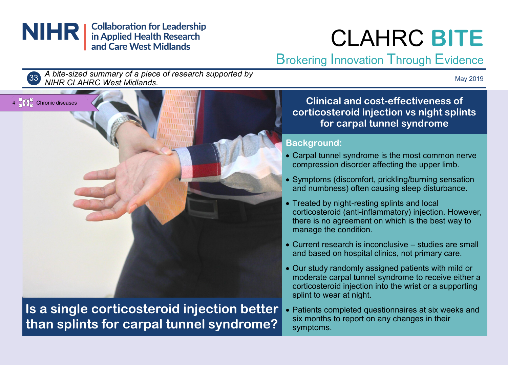

# CLAHRC **BITE**

## Brokering Innovation Through Evidence



*A bite-sized summary of a piece of research supported by NIHR CLAHRC West Midlands.* <sup>33</sup>

May 2019



**Is a single corticosteroid injection better than splints for carpal tunnel syndrome?**

**Clinical and cost-effectiveness of corticosteroid injection vs night splints for carpal tunnel syndrome** 

#### **Background:**

- Carpal tunnel syndrome is the most common nerve compression disorder affecting the upper limb.
- Symptoms (discomfort, prickling/burning sensation and numbness) often causing sleep disturbance.
- Treated by night-resting splints and local corticosteroid (anti-inflammatory) injection. However, there is no agreement on which is the best way to manage the condition.
- Current research is inconclusive studies are small and based on hospital clinics, not primary care.
- Our study randomly assigned patients with mild or moderate carpal tunnel syndrome to receive either a corticosteroid injection into the wrist or a supporting splint to wear at night.
- Patients completed questionnaires at six weeks and six months to report on any changes in their symptoms.